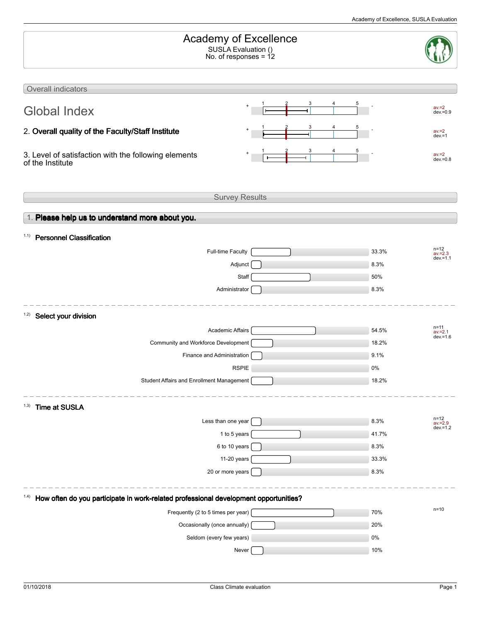| <b>Academy of Excellence</b><br>SUSLA Evaluation ()<br>No. of responses = 12                 |        |                                               |  |  |  |
|----------------------------------------------------------------------------------------------|--------|-----------------------------------------------|--|--|--|
| Overall indicators                                                                           |        |                                               |  |  |  |
| <b>Global Index</b>                                                                          | 3<br>5 | $av = 2$<br>$dev = 0.9$                       |  |  |  |
| 2. Overall quality of the Faculty/Staff Institute                                            |        | $av = 2$<br>$dev = 1$                         |  |  |  |
| 3. Level of satisfaction with the following elements<br>of the Institute                     |        | $av = 2$<br>$dev = 0.8$                       |  |  |  |
| <b>Survey Results</b>                                                                        |        |                                               |  |  |  |
| 1. Please help us to understand more about you.                                              |        |                                               |  |  |  |
| 1.1)<br><b>Personnel Classification</b>                                                      |        |                                               |  |  |  |
| <b>Full-time Faculty</b>                                                                     |        | $n = 12$<br>33.3%<br>$av = 2.3$               |  |  |  |
| Adjunct                                                                                      |        | $dev = 1.1$<br>8.3%                           |  |  |  |
| Staff                                                                                        |        | 50%                                           |  |  |  |
| Administrator                                                                                |        | 8.3%                                          |  |  |  |
| 1.2)<br>Select your division                                                                 |        |                                               |  |  |  |
| <b>Academic Affairs</b>                                                                      |        | n=11<br>54.5%                                 |  |  |  |
| Community and Workforce Development                                                          |        | $av = 2.1$<br>$dev = 1.6$<br>18.2%            |  |  |  |
| Finance and Administration                                                                   |        | 9.1%                                          |  |  |  |
| <b>RSPIE</b>                                                                                 |        | 0%                                            |  |  |  |
| Student Affairs and Enrollment Management                                                    |        | 18.2%                                         |  |  |  |
|                                                                                              |        |                                               |  |  |  |
| (1.3)<br><b>Time at SUSLA</b>                                                                |        |                                               |  |  |  |
| Less than one year                                                                           |        | $n = 12$<br>8.3%<br>$av = 2.9$<br>$dev = 1.2$ |  |  |  |
| 1 to 5 years                                                                                 |        | 41.7%                                         |  |  |  |
| 6 to 10 years                                                                                |        | 8.3%                                          |  |  |  |
| 11-20 years                                                                                  |        | 33.3%                                         |  |  |  |
| 20 or more years                                                                             |        | 8.3%                                          |  |  |  |
| How often do you participate in work-related professional development opportunities?<br>1.4) |        |                                               |  |  |  |
| Frequently (2 to 5 times per year)                                                           |        | $n = 10$<br>70%                               |  |  |  |
| Occasionally (once annually)                                                                 |        | 20%                                           |  |  |  |
| Seldom (every few years)                                                                     |        | $0\%$                                         |  |  |  |
| Never                                                                                        |        | 10%                                           |  |  |  |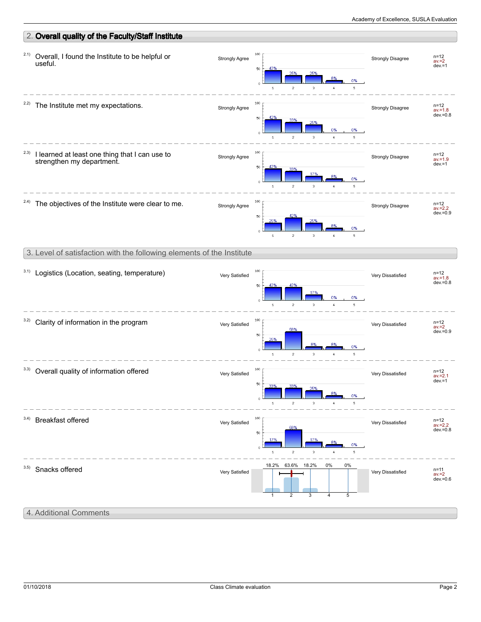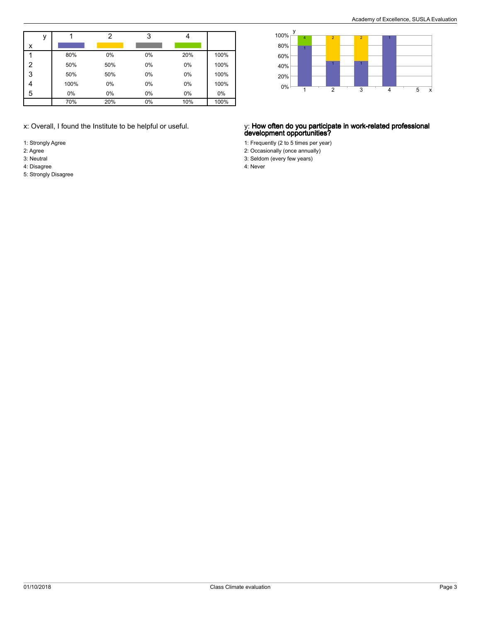|   |     |      | າ   | 3  |     |      |
|---|-----|------|-----|----|-----|------|
| x |     |      |     |    |     |      |
|   |     | 80%  | 0%  | 0% | 20% | 100% |
| 2 | 50% |      | 50% | 0% | 0%  | 100% |
| 3 |     | 50%  | 50% | 0% | 0%  | 100% |
|   |     | 100% | 0%  | 0% | 0%  | 100% |
| 5 | 0%  |      | 0%  | 0% | 0%  | 0%   |
|   | 70% |      | 20% | 0% | 10% | 100% |

- 1: Strongly Agree
- 2: Agree
- 3: Neutral 4: Disagree
- 5: Strongly Disagree



## x: Overall, I found the Institute to be helpful or useful. y: **How often do you participate in work-related professional development opportunities?**

1: Frequently (2 to 5 times per year)

- 2: Occasionally (once annually)
- 3: Seldom (every few years)

4: Never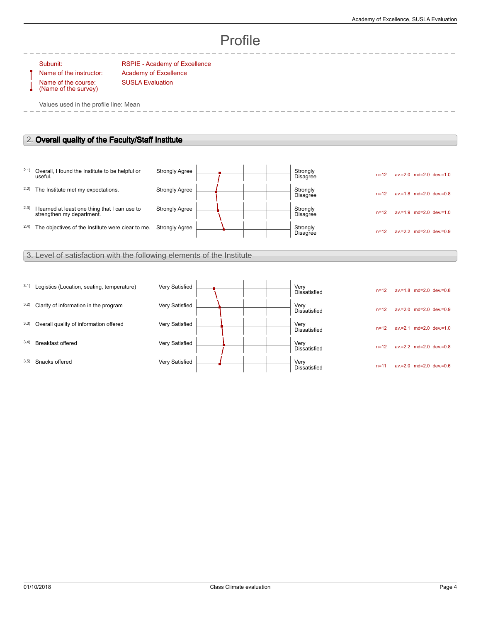# Profile

Name of the course: (Name of the survey)

Subunit: RSPIE - Academy of Excellence Name of the instructor: Academy of Excellence SUSLA Evaluation

Values used in the profile line: Mean

# 2. **Overall quality of the Faculty/Staff Institute**

|       | 2.1) Overall, I found the Institute to be helpful or<br>useful.             | <b>Strongly Agree</b> |  |  | Strongly<br>Disagree        | $n = 12$ | $av = 2.0$ md= $2.0$ dev $= 1.0$ |
|-------|-----------------------------------------------------------------------------|-----------------------|--|--|-----------------------------|----------|----------------------------------|
| 2.2)  | The Institute met my expectations.                                          | <b>Strongly Agree</b> |  |  | Strongly<br>Disagree        | $n = 12$ | $av = 1.8$ md=2.0 dev.=0.8       |
| (2.3) | I learned at least one thing that I can use to<br>strengthen my department. | <b>Strongly Agree</b> |  |  | Strongly<br><b>Disagree</b> | $n = 12$ | $av.=1.9$ md=2.0 dev.=1.0        |
| 2.4)  | The objectives of the Institute were clear to me.                           | <b>Strongly Agree</b> |  |  | Strongly<br>Disagree        | $n = 12$ | $av = 2.2$ md= $2.0$ dev $= 0.9$ |

# 3. Level of satisfaction with the following elements of the Institute

| 3.1) | Logistics (Location, seating, temperature) | Very Satisfied |  |  | Very<br><b>Dissatisfied</b> | $n = 12$ | $av = 1.8$ md=2.0 dev.=0.8       |
|------|--------------------------------------------|----------------|--|--|-----------------------------|----------|----------------------------------|
| 3.2) | Clarity of information in the program      | Very Satisfied |  |  | Very<br><b>Dissatisfied</b> | $n = 12$ | $av = 2.0$ md= $2.0$ dev $= 0.9$ |
| 3.3) | Overall quality of information offered     | Very Satisfied |  |  | Very<br>Dissatisfied        | $n = 12$ | $av.=2.1$ md=2.0 dev.=1.0        |
| 3.4) | Breakfast offered                          | Very Satisfied |  |  | Very<br>Dissatisfied        | $n = 12$ | $av.=2.2$ md=2.0 dev.=0.8        |
| 3.5) | Snacks offered                             | Very Satisfied |  |  | Very<br><b>Dissatisfied</b> | $n = 11$ | $av = 2.0$ md= $2.0$ dev $= 0.6$ |